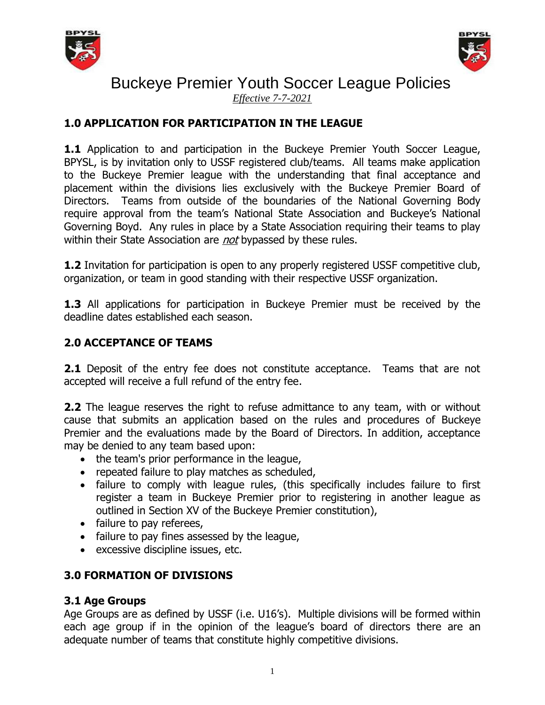



*Effective 7-7-2021*

## **1.0 APPLICATION FOR PARTICIPATION IN THE LEAGUE**

**1.1** Application to and participation in the Buckeye Premier Youth Soccer League, BPYSL, is by invitation only to USSF registered club/teams. All teams make application to the Buckeye Premier league with the understanding that final acceptance and placement within the divisions lies exclusively with the Buckeye Premier Board of Directors. Teams from outside of the boundaries of the National Governing Body require approval from the team's National State Association and Buckeye's National Governing Boyd. Any rules in place by a State Association requiring their teams to play within their State Association are *not* bypassed by these rules.

**1.2** Invitation for participation is open to any properly registered USSF competitive club, organization, or team in good standing with their respective USSF organization.

**1.3** All applications for participation in Buckeye Premier must be received by the deadline dates established each season.

### **2.0 ACCEPTANCE OF TEAMS**

**2.1** Deposit of the entry fee does not constitute acceptance. Teams that are not accepted will receive a full refund of the entry fee.

**2.2** The league reserves the right to refuse admittance to any team, with or without cause that submits an application based on the rules and procedures of Buckeye Premier and the evaluations made by the Board of Directors. In addition, acceptance may be denied to any team based upon:

- the team's prior performance in the league,
- repeated failure to play matches as scheduled,
- failure to comply with league rules, (this specifically includes failure to first register a team in Buckeye Premier prior to registering in another league as outlined in Section XV of the Buckeye Premier constitution),
- failure to pay referees,
- failure to pay fines assessed by the league,
- excessive discipline issues, etc.

## **3.0 FORMATION OF DIVISIONS**

### **3.1 Age Groups**

Age Groups are as defined by USSF (i.e. U16's). Multiple divisions will be formed within each age group if in the opinion of the league's board of directors there are an adequate number of teams that constitute highly competitive divisions.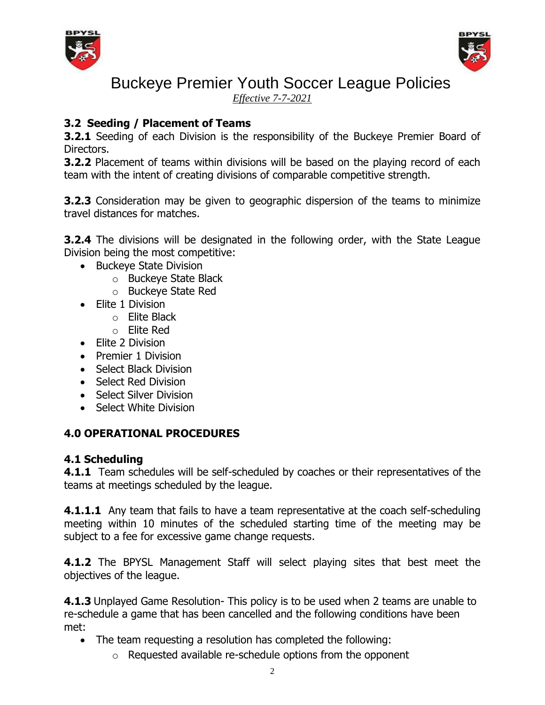



*Effective 7-7-2021*

## **3.2 Seeding / Placement of Teams**

**3.2.1** Seeding of each Division is the responsibility of the Buckeye Premier Board of Directors.

**3.2.2** Placement of teams within divisions will be based on the playing record of each team with the intent of creating divisions of comparable competitive strength.

**3.2.3** Consideration may be given to geographic dispersion of the teams to minimize travel distances for matches.

**3.2.4** The divisions will be designated in the following order, with the State League Division being the most competitive:

- Buckeye State Division
	- o Buckeye State Black
	- o Buckeye State Red
- Elite 1 Division
	- o Elite Black
	- o Elite Red
- Elite 2 Division
- Premier 1 Division
- Select Black Division
- Select Red Division
- Select Silver Division
- Select White Division

## **4.0 OPERATIONAL PROCEDURES**

### **4.1 Scheduling**

**4.1.1** Team schedules will be self-scheduled by coaches or their representatives of the teams at meetings scheduled by the league.

**4.1.1.1** Any team that fails to have a team representative at the coach self-scheduling meeting within 10 minutes of the scheduled starting time of the meeting may be subject to a fee for excessive game change requests.

**4.1.2** The BPYSL Management Staff will select playing sites that best meet the objectives of the league.

**4.1.3** Unplayed Game Resolution- This policy is to be used when 2 teams are unable to re-schedule a game that has been cancelled and the following conditions have been met:

- The team requesting a resolution has completed the following:
	- o Requested available re-schedule options from the opponent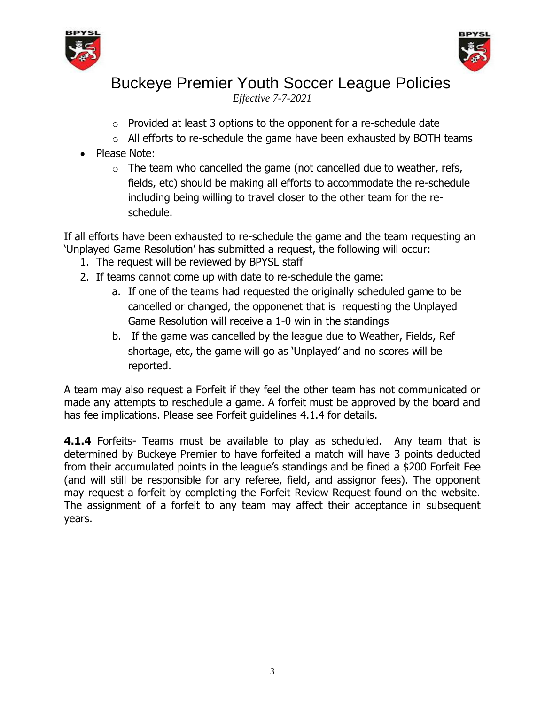



*Effective 7-7-2021*

- $\circ$  Provided at least 3 options to the opponent for a re-schedule date
- o All efforts to re-schedule the game have been exhausted by BOTH teams
- Please Note:
	- $\circ$  The team who cancelled the game (not cancelled due to weather, refs, fields, etc) should be making all efforts to accommodate the re-schedule including being willing to travel closer to the other team for the reschedule.

If all efforts have been exhausted to re-schedule the game and the team requesting an 'Unplayed Game Resolution' has submitted a request, the following will occur:

- 1. The request will be reviewed by BPYSL staff
- 2. If teams cannot come up with date to re-schedule the game:
	- a. If one of the teams had requested the originally scheduled game to be cancelled or changed, the opponenet that is requesting the Unplayed Game Resolution will receive a 1-0 win in the standings
	- b. If the game was cancelled by the league due to Weather, Fields, Ref shortage, etc, the game will go as 'Unplayed' and no scores will be reported.

A team may also request a Forfeit if they feel the other team has not communicated or made any attempts to reschedule a game. A forfeit must be approved by the board and has fee implications. Please see Forfeit guidelines 4.1.4 for details.

**4.1.4** Forfeits- Teams must be available to play as scheduled. Any team that is determined by Buckeye Premier to have forfeited a match will have 3 points deducted from their accumulated points in the league's standings and be fined a \$200 Forfeit Fee (and will still be responsible for any referee, field, and assignor fees). The opponent may request a forfeit by completing the Forfeit Review Request found on the website. The assignment of a forfeit to any team may affect their acceptance in subsequent years.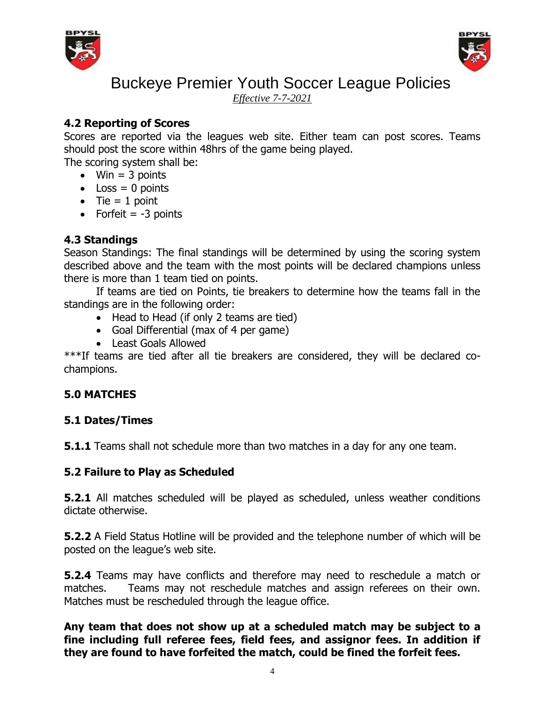



*Effective 7-7-2021*

## **4.2 Reporting of Scores**

Scores are reported via the leagues web site. Either team can post scores. Teams should post the score within 48hrs of the game being played.

The scoring system shall be:

- $\bullet$  Win = 3 points
- $\bullet$  Loss = 0 points
- $\bullet$  Tie = 1 point
- Forfeit  $= -3$  points

## **4.3 Standings**

Season Standings: The final standings will be determined by using the scoring system described above and the team with the most points will be declared champions unless there is more than 1 team tied on points.

If teams are tied on Points, tie breakers to determine how the teams fall in the standings are in the following order:

- Head to Head (if only 2 teams are tied)
- Goal Differential (max of 4 per game)
- Least Goals Allowed

\*\*\*If teams are tied after all tie breakers are considered, they will be declared cochampions.

## **5.0 MATCHES**

## **5.1 Dates/Times**

**5.1.1** Teams shall not schedule more than two matches in a day for any one team.

## **5.2 Failure to Play as Scheduled**

**5.2.1** All matches scheduled will be played as scheduled, unless weather conditions dictate otherwise.

**5.2.2** A Field Status Hotline will be provided and the telephone number of which will be posted on the league's web site.

**5.2.4** Teams may have conflicts and therefore may need to reschedule a match or matches. Teams may not reschedule matches and assign referees on their own. Matches must be rescheduled through the league office.

**Any team that does not show up at a scheduled match may be subject to a fine including full referee fees, field fees, and assignor fees. In addition if they are found to have forfeited the match, could be fined the forfeit fees.**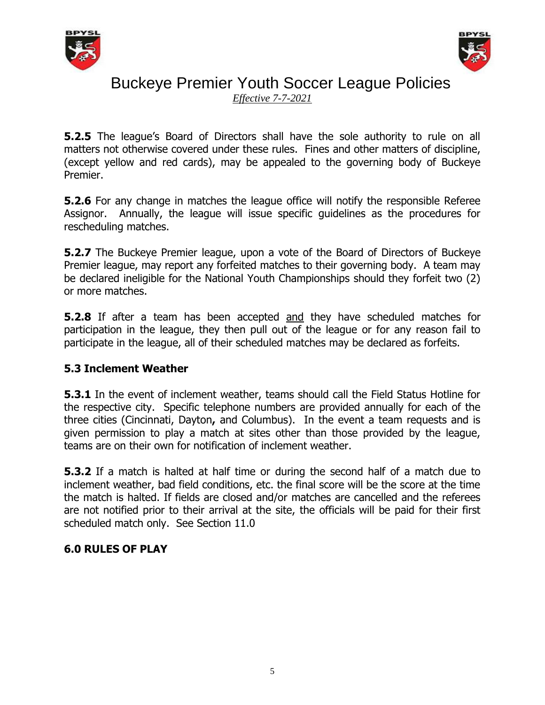



*Effective 7-7-2021*

**5.2.5** The league's Board of Directors shall have the sole authority to rule on all matters not otherwise covered under these rules. Fines and other matters of discipline, (except yellow and red cards), may be appealed to the governing body of Buckeye Premier.

**5.2.6** For any change in matches the league office will notify the responsible Referee Assignor. Annually, the league will issue specific guidelines as the procedures for rescheduling matches.

**5.2.7** The Buckeye Premier league, upon a vote of the Board of Directors of Buckeye Premier league, may report any forfeited matches to their governing body. A team may be declared ineligible for the National Youth Championships should they forfeit two (2) or more matches.

**5.2.8** If after a team has been accepted and they have scheduled matches for participation in the league, they then pull out of the league or for any reason fail to participate in the league, all of their scheduled matches may be declared as forfeits.

## **5.3 Inclement Weather**

**5.3.1** In the event of inclement weather, teams should call the Field Status Hotline for the respective city. Specific telephone numbers are provided annually for each of the three cities (Cincinnati, Dayton**,** and Columbus). In the event a team requests and is given permission to play a match at sites other than those provided by the league, teams are on their own for notification of inclement weather.

**5.3.2** If a match is halted at half time or during the second half of a match due to inclement weather, bad field conditions, etc. the final score will be the score at the time the match is halted. If fields are closed and/or matches are cancelled and the referees are not notified prior to their arrival at the site, the officials will be paid for their first scheduled match only. See Section 11.0

## **6.0 RULES OF PLAY**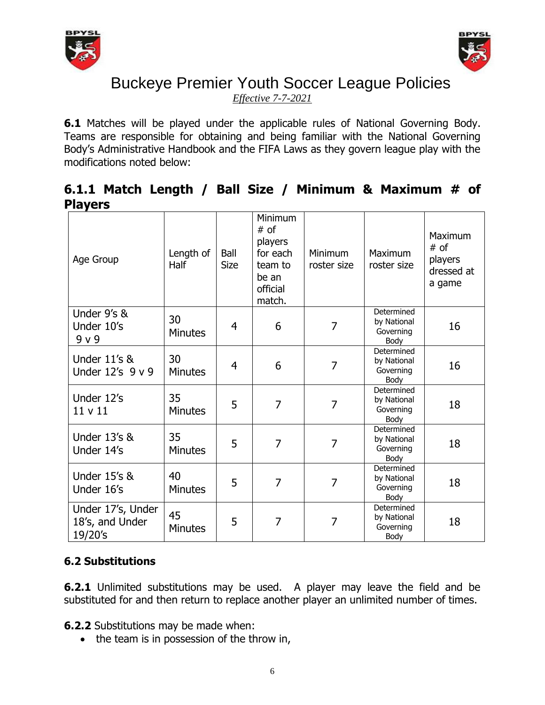



*Effective 7-7-2021*

**6.1** Matches will be played under the applicable rules of National Governing Body. Teams are responsible for obtaining and being familiar with the National Governing Body's Administrative Handbook and the FIFA Laws as they govern league play with the modifications noted below:

## **6.1.1 Match Length / Ball Size / Minimum & Maximum # of Players**

| Age Group                                       | Length of<br>Half    | Ball<br><b>Size</b> | Minimum<br># of<br>players<br>for each<br>team to<br>be an<br>official<br>match. | Minimum<br>roster size | Maximum<br>roster size                         | <b>Maximum</b><br># of<br>players<br>dressed at<br>a game |
|-------------------------------------------------|----------------------|---------------------|----------------------------------------------------------------------------------|------------------------|------------------------------------------------|-----------------------------------------------------------|
| Under 9's &<br>Under 10's<br>9 v 9              | 30<br><b>Minutes</b> | 4                   | 6                                                                                | 7                      | Determined<br>by National<br>Governing<br>Body | 16                                                        |
| <b>Under 11's &amp;</b><br>Under 12's 9 v 9     | 30<br><b>Minutes</b> | 4                   | 6                                                                                | 7                      | Determined<br>by National<br>Governing<br>Body | 16                                                        |
| Under 12's<br>11 v 11                           | 35<br><b>Minutes</b> | 5                   | $\overline{7}$                                                                   | 7                      | Determined<br>by National<br>Governing<br>Body | 18                                                        |
| <b>Under 13's &amp;</b><br>Under 14's           | 35<br><b>Minutes</b> | 5                   | $\overline{7}$                                                                   | 7                      | Determined<br>by National<br>Governing<br>Body | 18                                                        |
| <b>Under 15's &amp;</b><br>Under 16's           | 40<br><b>Minutes</b> | 5                   | $\overline{7}$                                                                   | 7                      | Determined<br>by National<br>Governing<br>Body | 18                                                        |
| Under 17's, Under<br>18's, and Under<br>19/20's | 45<br><b>Minutes</b> | 5                   | 7                                                                                | 7                      | Determined<br>by National<br>Governing<br>Body | 18                                                        |

## **6.2 Substitutions**

**6.2.1** Unlimited substitutions may be used. A player may leave the field and be substituted for and then return to replace another player an unlimited number of times.

**6.2.2** Substitutions may be made when:

• the team is in possession of the throw in,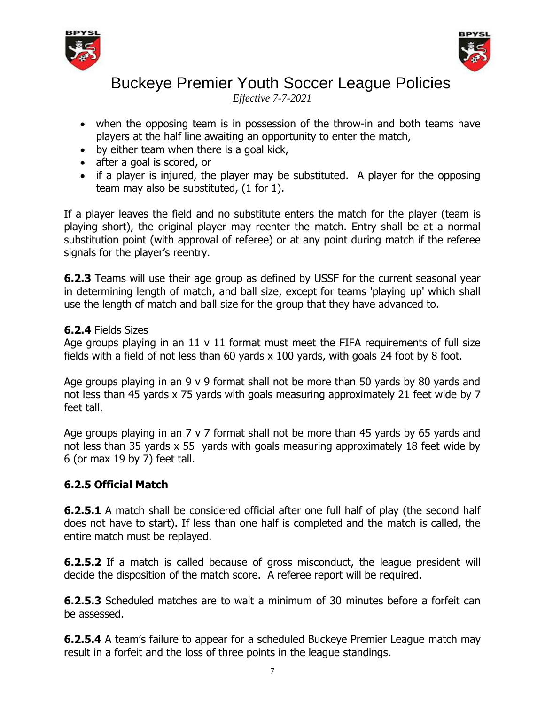



*Effective 7-7-2021*

- when the opposing team is in possession of the throw-in and both teams have players at the half line awaiting an opportunity to enter the match,
- by either team when there is a goal kick,
- after a goal is scored, or
- if a player is injured, the player may be substituted. A player for the opposing team may also be substituted, (1 for 1).

If a player leaves the field and no substitute enters the match for the player (team is playing short), the original player may reenter the match. Entry shall be at a normal substitution point (with approval of referee) or at any point during match if the referee signals for the player's reentry.

**6.2.3** Teams will use their age group as defined by USSF for the current seasonal year in determining length of match, and ball size, except for teams 'playing up' which shall use the length of match and ball size for the group that they have advanced to.

### **6.2.4** Fields Sizes

Age groups playing in an 11 v 11 format must meet the FIFA requirements of full size fields with a field of not less than 60 yards x 100 yards, with goals 24 foot by 8 foot.

Age groups playing in an  $9 \vee 9$  format shall not be more than 50 yards by 80 yards and not less than 45 yards x 75 yards with goals measuring approximately 21 feet wide by 7 feet tall.

Age groups playing in an 7 v 7 format shall not be more than 45 yards by 65 yards and not less than 35 yards x 55 yards with goals measuring approximately 18 feet wide by 6 (or max 19 by 7) feet tall.

## **6.2.5 Official Match**

**6.2.5.1** A match shall be considered official after one full half of play (the second half does not have to start). If less than one half is completed and the match is called, the entire match must be replayed.

**6.2.5.2** If a match is called because of gross misconduct, the league president will decide the disposition of the match score. A referee report will be required.

**6.2.5.3** Scheduled matches are to wait a minimum of 30 minutes before a forfeit can be assessed.

**6.2.5.4** A team's failure to appear for a scheduled Buckeye Premier League match may result in a forfeit and the loss of three points in the league standings.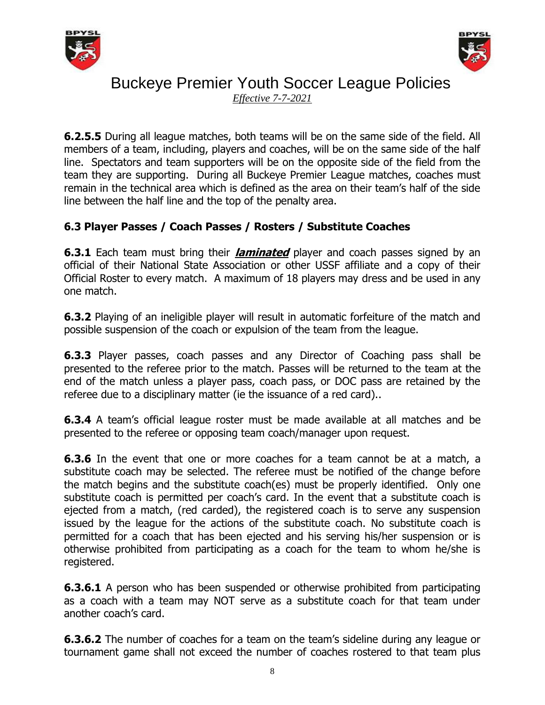



*Effective 7-7-2021*

**6.2.5.5** During all league matches, both teams will be on the same side of the field. All members of a team, including, players and coaches, will be on the same side of the half line. Spectators and team supporters will be on the opposite side of the field from the team they are supporting. During all Buckeye Premier League matches, coaches must remain in the technical area which is defined as the area on their team's half of the side line between the half line and the top of the penalty area.

## **6.3 Player Passes / Coach Passes / Rosters / Substitute Coaches**

**6.3.1** Each team must bring their **laminated** player and coach passes signed by an official of their National State Association or other USSF affiliate and a copy of their Official Roster to every match. A maximum of 18 players may dress and be used in any one match.

**6.3.2** Playing of an ineligible player will result in automatic forfeiture of the match and possible suspension of the coach or expulsion of the team from the league.

**6.3.3** Player passes, coach passes and any Director of Coaching pass shall be presented to the referee prior to the match. Passes will be returned to the team at the end of the match unless a player pass, coach pass, or DOC pass are retained by the referee due to a disciplinary matter (ie the issuance of a red card)..

**6.3.4** A team's official league roster must be made available at all matches and be presented to the referee or opposing team coach/manager upon request.

**6.3.6** In the event that one or more coaches for a team cannot be at a match, a substitute coach may be selected. The referee must be notified of the change before the match begins and the substitute coach(es) must be properly identified. Only one substitute coach is permitted per coach's card. In the event that a substitute coach is ejected from a match, (red carded), the registered coach is to serve any suspension issued by the league for the actions of the substitute coach. No substitute coach is permitted for a coach that has been ejected and his serving his/her suspension or is otherwise prohibited from participating as a coach for the team to whom he/she is registered.

**6.3.6.1** A person who has been suspended or otherwise prohibited from participating as a coach with a team may NOT serve as a substitute coach for that team under another coach's card.

**6.3.6.2** The number of coaches for a team on the team's sideline during any league or tournament game shall not exceed the number of coaches rostered to that team plus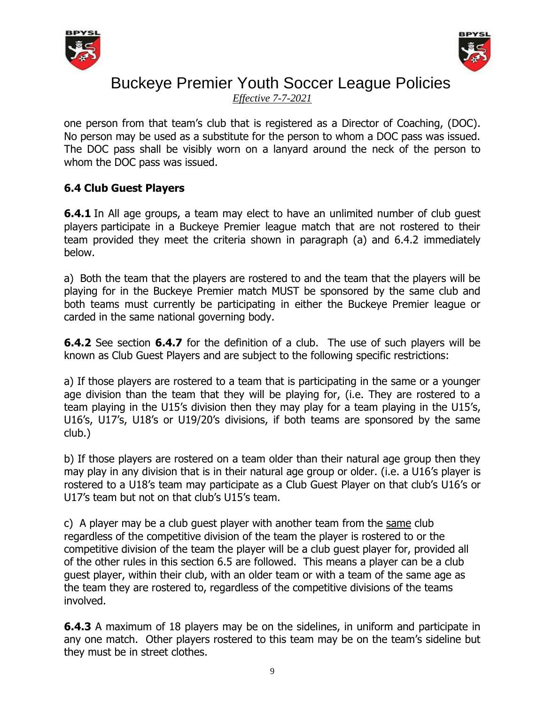



*Effective 7-7-2021*

one person from that team's club that is registered as a Director of Coaching, (DOC). No person may be used as a substitute for the person to whom a DOC pass was issued. The DOC pass shall be visibly worn on a lanyard around the neck of the person to whom the DOC pass was issued.

### **6.4 Club Guest Players**

**6.4.1** In All age groups, a team may elect to have an unlimited number of club guest players participate in a Buckeye Premier league match that are not rostered to their team provided they meet the criteria shown in paragraph (a) and 6.4.2 immediately below.

a) Both the team that the players are rostered to and the team that the players will be playing for in the Buckeye Premier match MUST be sponsored by the same club and both teams must currently be participating in either the Buckeye Premier league or carded in the same national governing body.

**6.4.2** See section **6.4.7** for the definition of a club. The use of such players will be known as Club Guest Players and are subject to the following specific restrictions:

a) If those players are rostered to a team that is participating in the same or a younger age division than the team that they will be playing for, (i.e. They are rostered to a team playing in the U15's division then they may play for a team playing in the U15's, U16's, U17's, U18's or U19/20's divisions, if both teams are sponsored by the same club.)

b) If those players are rostered on a team older than their natural age group then they may play in any division that is in their natural age group or older. (i.e. a U16's player is rostered to a U18's team may participate as a Club Guest Player on that club's U16's or U17's team but not on that club's U15's team.

c) A player may be a club guest player with another team from the same club regardless of the competitive division of the team the player is rostered to or the competitive division of the team the player will be a club guest player for, provided all of the other rules in this section 6.5 are followed. This means a player can be a club guest player, within their club, with an older team or with a team of the same age as the team they are rostered to, regardless of the competitive divisions of the teams involved.

**6.4.3** A maximum of 18 players may be on the sidelines, in uniform and participate in any one match. Other players rostered to this team may be on the team's sideline but they must be in street clothes.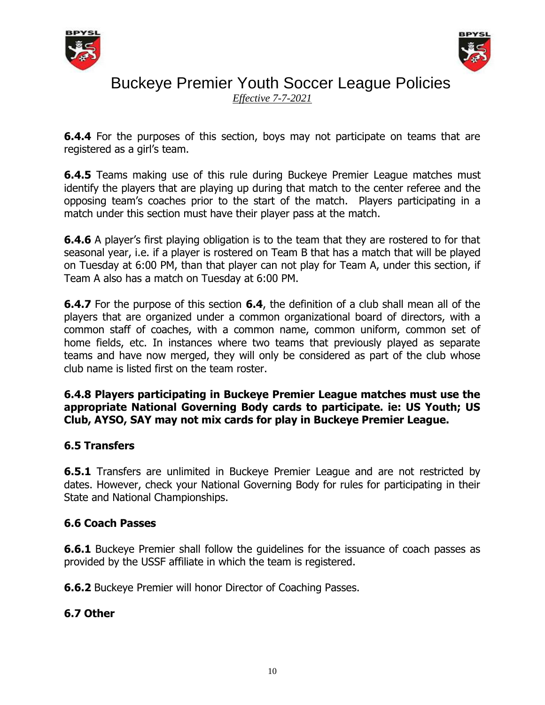



*Effective 7-7-2021*

**6.4.4** For the purposes of this section, boys may not participate on teams that are registered as a girl's team.

**6.4.5** Teams making use of this rule during Buckeye Premier League matches must identify the players that are playing up during that match to the center referee and the opposing team's coaches prior to the start of the match. Players participating in a match under this section must have their player pass at the match.

**6.4.6** A player's first playing obligation is to the team that they are rostered to for that seasonal year, i.e. if a player is rostered on Team B that has a match that will be played on Tuesday at 6:00 PM, than that player can not play for Team A, under this section, if Team A also has a match on Tuesday at 6:00 PM.

**6.4.7** For the purpose of this section **6.4**, the definition of a club shall mean all of the players that are organized under a common organizational board of directors, with a common staff of coaches, with a common name, common uniform, common set of home fields, etc. In instances where two teams that previously played as separate teams and have now merged, they will only be considered as part of the club whose club name is listed first on the team roster.

### **6.4.8 Players participating in Buckeye Premier League matches must use the appropriate National Governing Body cards to participate. ie: US Youth; US Club, AYSO, SAY may not mix cards for play in Buckeye Premier League.**

## **6.5 Transfers**

**6.5.1** Transfers are unlimited in Buckeye Premier League and are not restricted by dates. However, check your National Governing Body for rules for participating in their State and National Championships.

## **6.6 Coach Passes**

**6.6.1** Buckeye Premier shall follow the quidelines for the issuance of coach passes as provided by the USSF affiliate in which the team is registered.

**6.6.2** Buckeye Premier will honor Director of Coaching Passes.

## **6.7 Other**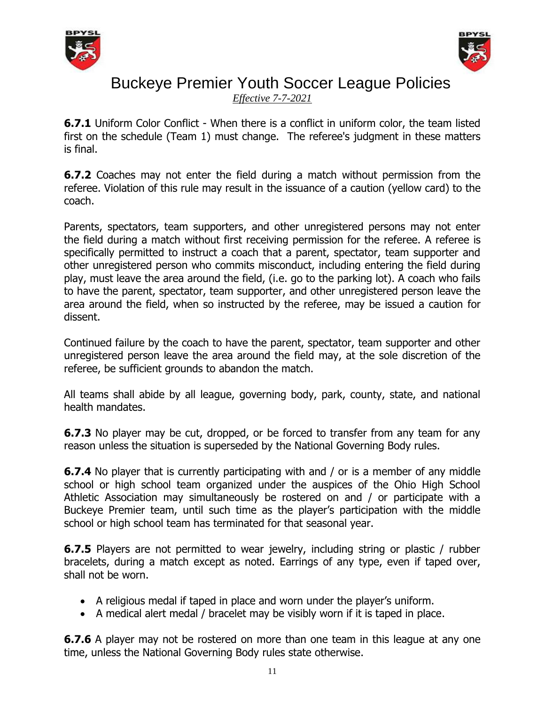



*Effective 7-7-2021*

**6.7.1** Uniform Color Conflict - When there is a conflict in uniform color, the team listed first on the schedule (Team 1) must change. The referee's judgment in these matters is final.

**6.7.2** Coaches may not enter the field during a match without permission from the referee. Violation of this rule may result in the issuance of a caution (yellow card) to the coach.

Parents, spectators, team supporters, and other unregistered persons may not enter the field during a match without first receiving permission for the referee. A referee is specifically permitted to instruct a coach that a parent, spectator, team supporter and other unregistered person who commits misconduct, including entering the field during play, must leave the area around the field, (i.e. go to the parking lot). A coach who fails to have the parent, spectator, team supporter, and other unregistered person leave the area around the field, when so instructed by the referee, may be issued a caution for dissent.

Continued failure by the coach to have the parent, spectator, team supporter and other unregistered person leave the area around the field may, at the sole discretion of the referee, be sufficient grounds to abandon the match.

All teams shall abide by all league, governing body, park, county, state, and national health mandates.

**6.7.3** No player may be cut, dropped, or be forced to transfer from any team for any reason unless the situation is superseded by the National Governing Body rules.

**6.7.4** No player that is currently participating with and / or is a member of any middle school or high school team organized under the auspices of the Ohio High School Athletic Association may simultaneously be rostered on and / or participate with a Buckeye Premier team, until such time as the player's participation with the middle school or high school team has terminated for that seasonal year.

**6.7.5** Players are not permitted to wear jewelry, including string or plastic / rubber bracelets, during a match except as noted. Earrings of any type, even if taped over, shall not be worn.

- A religious medal if taped in place and worn under the player's uniform.
- A medical alert medal / bracelet may be visibly worn if it is taped in place.

**6.7.6** A player may not be rostered on more than one team in this league at any one time, unless the National Governing Body rules state otherwise.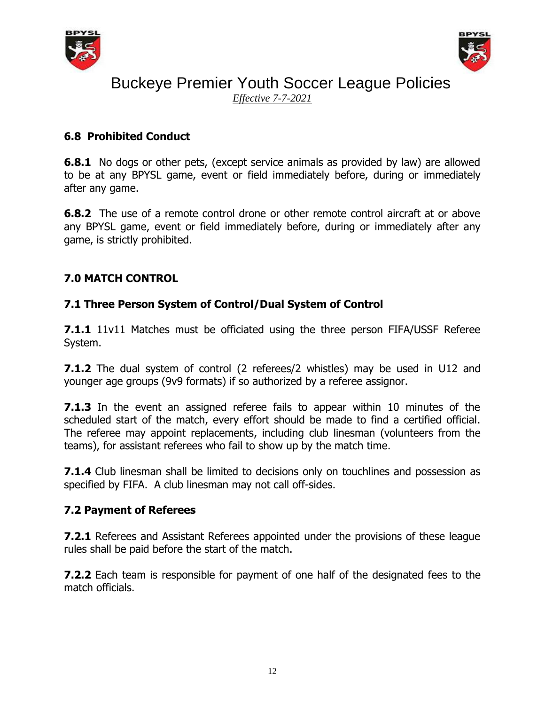



*Effective 7-7-2021*

## **6.8 Prohibited Conduct**

**6.8.1** No dogs or other pets, (except service animals as provided by law) are allowed to be at any BPYSL game, event or field immediately before, during or immediately after any game.

**6.8.2** The use of a remote control drone or other remote control aircraft at or above any BPYSL game, event or field immediately before, during or immediately after any game, is strictly prohibited.

## **7.0 MATCH CONTROL**

## **7.1 Three Person System of Control/Dual System of Control**

**7.1.1** 11v11 Matches must be officiated using the three person FIFA/USSF Referee System.

**7.1.2** The dual system of control (2 referees/2 whistles) may be used in U12 and younger age groups (9v9 formats) if so authorized by a referee assignor.

**7.1.3** In the event an assigned referee fails to appear within 10 minutes of the scheduled start of the match, every effort should be made to find a certified official. The referee may appoint replacements, including club linesman (volunteers from the teams), for assistant referees who fail to show up by the match time.

**7.1.4** Club linesman shall be limited to decisions only on touchlines and possession as specified by FIFA. A club linesman may not call off-sides.

## **7.2 Payment of Referees**

**7.2.1** Referees and Assistant Referees appointed under the provisions of these league rules shall be paid before the start of the match.

**7.2.2** Each team is responsible for payment of one half of the designated fees to the match officials.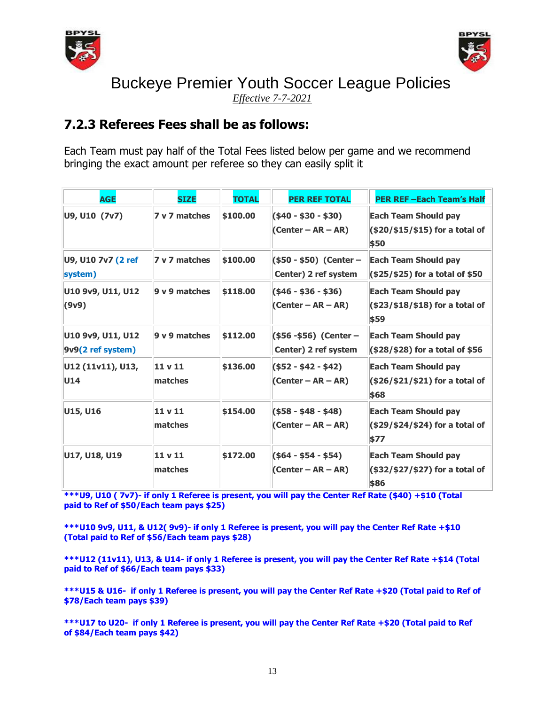



*Effective 7-7-2021*

## **7.2.3 Referees Fees shall be as follows:**

Each Team must pay half of the Total Fees listed below per game and we recommend bringing the exact amount per referee so they can easily split it

| <b>AGE</b>                             | <b>SIZE</b>                   | <b>TOTAL</b> | <b>PER REF TOTAL</b>                               | <b>PER REF-Each Team's Half</b>                                           |
|----------------------------------------|-------------------------------|--------------|----------------------------------------------------|---------------------------------------------------------------------------|
| U9, U10 (7v7)                          | 7 v 7 matches                 | \$100,00     | $(40 - 30 - 30)$<br>(Center – $AR - AR$ )          | <b>Each Team Should pay</b><br>$($ \$20/\$15/\$15) for a total of<br>\$50 |
| U9, U10 7v7 (2 ref<br>system)          | 7 v 7 matches                 | \$100.00     | $($ \$50 - \$50) (Center –<br>Center) 2 ref system | <b>Each Team Should pay</b><br>$( $25/ $25)$ for a total of \$50          |
| U10 9v9, U11, U12<br>(9v9)             | 9 v 9 matches                 | \$118.00     | $($ \$46 - \$36 - \$36)<br>$(Center - AR - AR)$    | <b>Each Team Should pay</b><br>$($ \$23/\$18/\$18) for a total of<br>\$59 |
| U10 9v9, U11, U12<br>9v9(2 ref system) | 9 v 9 matches                 | \$112.00     | (\$56 -\$56) (Center –<br>Center) 2 ref system     | <b>Each Team Should pay</b><br>$($ \$28/\$28) for a total of \$56         |
| U12 (11v11), U13,<br>U14               | 11 <sub>v</sub> 11<br>matches | \$136,00     | $($ \$52 - \$42 - \$42)<br>(Center – $AR - AR$ )   | <b>Each Team Should pay</b><br>$($ \$26/\$21/\$21) for a total of<br>\$68 |
| U15, U16                               | 11 v 11<br>matches            | \$154,00     | $($ \$58 - \$48 - \$48)<br>(Center – AR – AR)      | <b>Each Team Should pay</b><br>(\$29/\$24/\$24) for a total of<br>\$77    |
| U17, U18, U19                          | 11 v 11<br>matches            | \$172.00     | $($ \$64 - \$54 - \$54)<br>(Center – $AR - AR$ )   | <b>Each Team Should pay</b><br>(\$32/\$27/\$27) for a total of<br>\$86    |

**\*\*\*U9, U10 ( 7v7)- if only 1 Referee is present, you will pay the Center Ref Rate (\$40) +\$10 (Total paid to Ref of \$50/Each team pays \$25)**

**\*\*\*U10 9v9, U11, & U12( 9v9)- if only 1 Referee is present, you will pay the Center Ref Rate +\$10 (Total paid to Ref of \$56/Each team pays \$28)**

**\*\*\*U12 (11v11), U13, & U14- if only 1 Referee is present, you will pay the Center Ref Rate +\$14 (Total paid to Ref of \$66/Each team pays \$33)**

**\*\*\*U15 & U16- if only 1 Referee is present, you will pay the Center Ref Rate +\$20 (Total paid to Ref of \$78/Each team pays \$39)**

**\*\*\*U17 to U20- if only 1 Referee is present, you will pay the Center Ref Rate +\$20 (Total paid to Ref of \$84/Each team pays \$42)**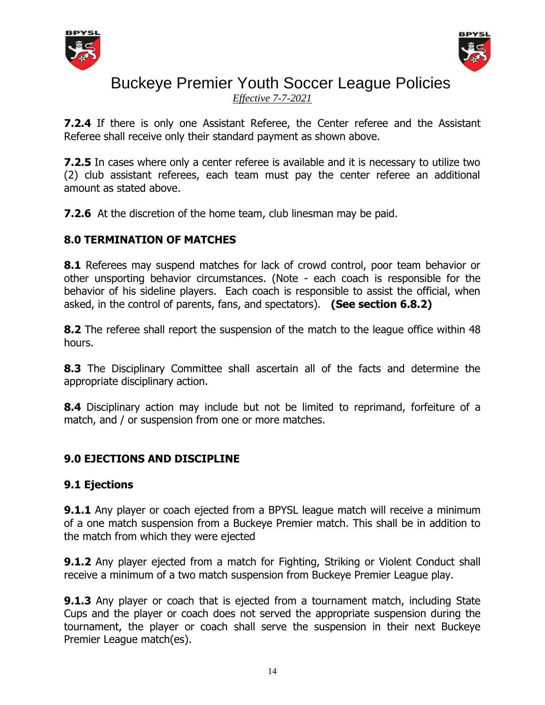



*Effective 7-7-2021*

**7.2.4** If there is only one Assistant Referee, the Center referee and the Assistant Referee shall receive only their standard payment as shown above.

**7.2.5** In cases where only a center referee is available and it is necessary to utilize two (2) club assistant referees, each team must pay the center referee an additional amount as stated above.

**7.2.6** At the discretion of the home team, club linesman may be paid.

## **8.0 TERMINATION OF MATCHES**

**8.1** Referees may suspend matches for lack of crowd control, poor team behavior or other unsporting behavior circumstances. (Note - each coach is responsible for the behavior of his sideline players. Each coach is responsible to assist the official, when asked, in the control of parents, fans, and spectators). **(See section 6.8.2)**

**8.2** The referee shall report the suspension of the match to the league office within 48 hours.

**8.3** The Disciplinary Committee shall ascertain all of the facts and determine the appropriate disciplinary action.

**8.4** Disciplinary action may include but not be limited to reprimand, forfeiture of a match, and / or suspension from one or more matches.

## **9.0 EJECTIONS AND DISCIPLINE**

### **9.1 Ejections**

**9.1.1** Any player or coach ejected from a BPYSL league match will receive a minimum of a one match suspension from a Buckeye Premier match. This shall be in addition to the match from which they were ejected

**9.1.2** Any player ejected from a match for Fighting, Striking or Violent Conduct shall receive a minimum of a two match suspension from Buckeye Premier League play.

**9.1.3** Any player or coach that is ejected from a tournament match, including State Cups and the player or coach does not served the appropriate suspension during the tournament, the player or coach shall serve the suspension in their next Buckeye Premier League match(es).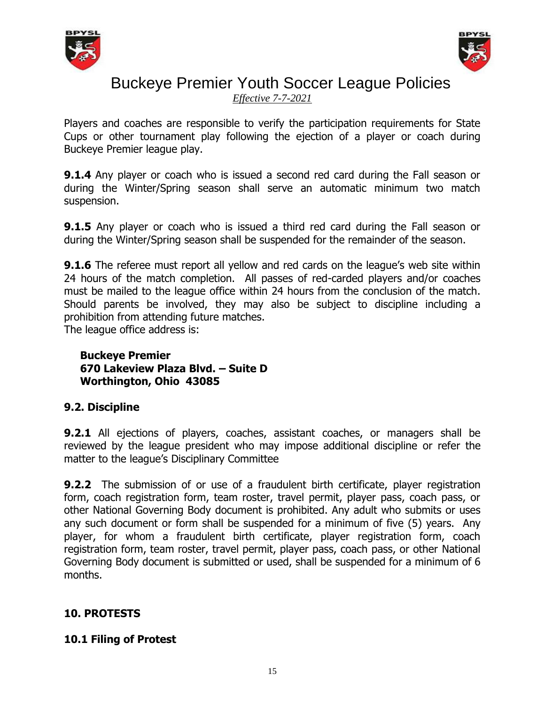



*Effective 7-7-2021*

Players and coaches are responsible to verify the participation requirements for State Cups or other tournament play following the ejection of a player or coach during Buckeye Premier league play.

**9.1.4** Any player or coach who is issued a second red card during the Fall season or during the Winter/Spring season shall serve an automatic minimum two match suspension.

**9.1.5** Any player or coach who is issued a third red card during the Fall season or during the Winter/Spring season shall be suspended for the remainder of the season.

**9.1.6** The referee must report all yellow and red cards on the league's web site within 24 hours of the match completion. All passes of red-carded players and/or coaches must be mailed to the league office within 24 hours from the conclusion of the match. Should parents be involved, they may also be subject to discipline including a prohibition from attending future matches.

The league office address is:

### **Buckeye Premier 670 Lakeview Plaza Blvd. – Suite D Worthington, Ohio 43085**

## **9.2. Discipline**

**9.2.1** All ejections of players, coaches, assistant coaches, or managers shall be reviewed by the league president who may impose additional discipline or refer the matter to the league's Disciplinary Committee

**9.2.2** The submission of or use of a fraudulent birth certificate, player registration form, coach registration form, team roster, travel permit, player pass, coach pass, or other National Governing Body document is prohibited. Any adult who submits or uses any such document or form shall be suspended for a minimum of five (5) years. Any player, for whom a fraudulent birth certificate, player registration form, coach registration form, team roster, travel permit, player pass, coach pass, or other National Governing Body document is submitted or used, shall be suspended for a minimum of 6 months.

## **10. PROTESTS**

### **10.1 Filing of Protest**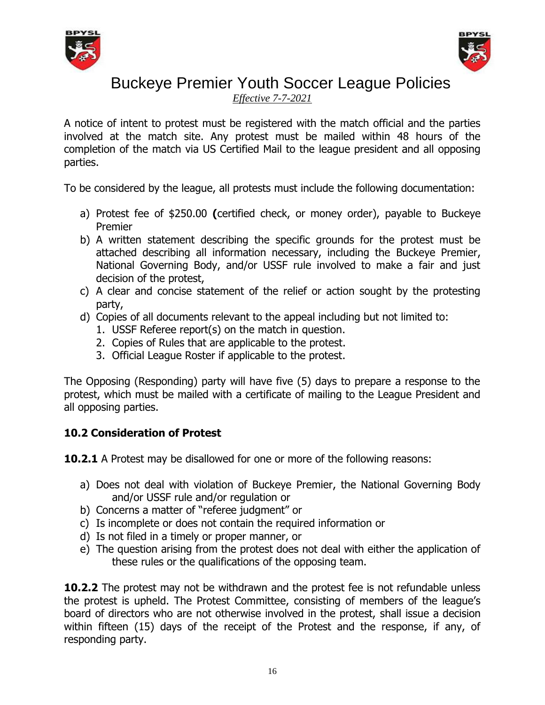



*Effective 7-7-2021*

A notice of intent to protest must be registered with the match official and the parties involved at the match site. Any protest must be mailed within 48 hours of the completion of the match via US Certified Mail to the league president and all opposing parties.

To be considered by the league, all protests must include the following documentation:

- a) Protest fee of \$250.00 **(**certified check, or money order), payable to Buckeye Premier
- b) A written statement describing the specific grounds for the protest must be attached describing all information necessary, including the Buckeye Premier, National Governing Body, and/or USSF rule involved to make a fair and just decision of the protest,
- c) A clear and concise statement of the relief or action sought by the protesting party,
- d) Copies of all documents relevant to the appeal including but not limited to:
	- 1. USSF Referee report(s) on the match in question.
	- 2. Copies of Rules that are applicable to the protest.
	- 3. Official League Roster if applicable to the protest.

The Opposing (Responding) party will have five (5) days to prepare a response to the protest, which must be mailed with a certificate of mailing to the League President and all opposing parties.

## **10.2 Consideration of Protest**

**10.2.1** A Protest may be disallowed for one or more of the following reasons:

- a) Does not deal with violation of Buckeye Premier, the National Governing Body and/or USSF rule and/or regulation or
- b) Concerns a matter of "referee judgment" or
- c) Is incomplete or does not contain the required information or
- d) Is not filed in a timely or proper manner, or
- e) The question arising from the protest does not deal with either the application of these rules or the qualifications of the opposing team.

**10.2.2** The protest may not be withdrawn and the protest fee is not refundable unless the protest is upheld. The Protest Committee, consisting of members of the league's board of directors who are not otherwise involved in the protest, shall issue a decision within fifteen (15) days of the receipt of the Protest and the response, if any, of responding party.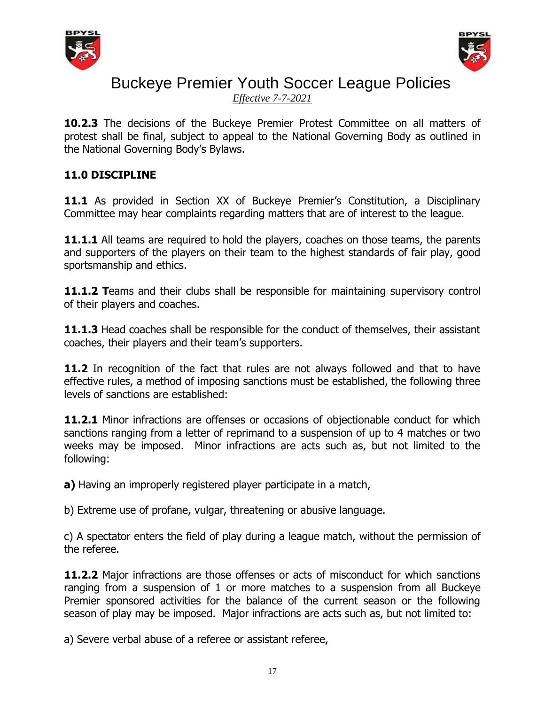



*Effective 7-7-2021*

**10.2.3** The decisions of the Buckeye Premier Protest Committee on all matters of protest shall be final, subject to appeal to the National Governing Body as outlined in the National Governing Body's Bylaws.

### **11.0 DISCIPLINE**

**11.1** As provided in Section XX of Buckeye Premier's Constitution, a Disciplinary Committee may hear complaints regarding matters that are of interest to the league.

**11.1.1** All teams are required to hold the players, coaches on those teams, the parents and supporters of the players on their team to the highest standards of fair play, good sportsmanship and ethics.

**11.1.2 T**eams and their clubs shall be responsible for maintaining supervisory control of their players and coaches.

**11.1.3** Head coaches shall be responsible for the conduct of themselves, their assistant coaches, their players and their team's supporters.

**11.2** In recognition of the fact that rules are not always followed and that to have effective rules, a method of imposing sanctions must be established, the following three levels of sanctions are established:

**11.2.1** Minor infractions are offenses or occasions of objectionable conduct for which sanctions ranging from a letter of reprimand to a suspension of up to 4 matches or two weeks may be imposed. Minor infractions are acts such as, but not limited to the following:

**a)** Having an improperly registered player participate in a match,

b) Extreme use of profane, vulgar, threatening or abusive language.

c) A spectator enters the field of play during a league match, without the permission of the referee.

**11.2.2** Major infractions are those offenses or acts of misconduct for which sanctions ranging from a suspension of 1 or more matches to a suspension from all Buckeye Premier sponsored activities for the balance of the current season or the following season of play may be imposed. Major infractions are acts such as, but not limited to:

a) Severe verbal abuse of a referee or assistant referee,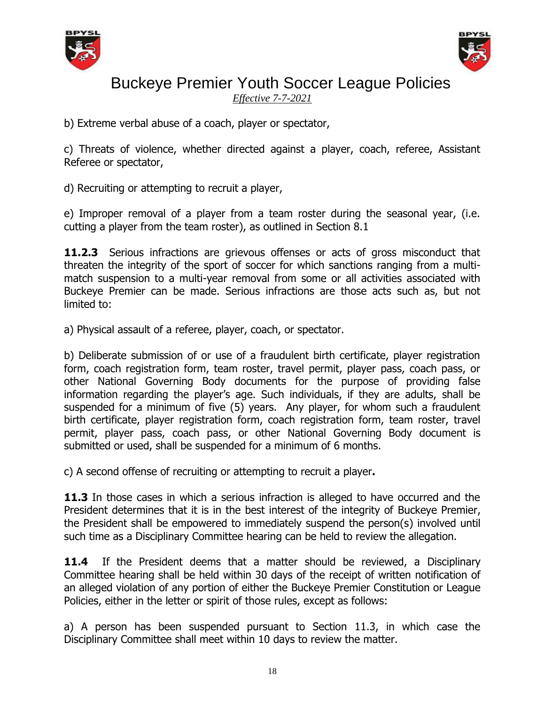



*Effective 7-7-2021*

b) Extreme verbal abuse of a coach, player or spectator,

c) Threats of violence, whether directed against a player, coach, referee, Assistant Referee or spectator,

d) Recruiting or attempting to recruit a player,

e) Improper removal of a player from a team roster during the seasonal year, (i.e. cutting a player from the team roster), as outlined in Section 8.1

**11.2.3** Serious infractions are grievous offenses or acts of gross misconduct that threaten the integrity of the sport of soccer for which sanctions ranging from a multimatch suspension to a multi-year removal from some or all activities associated with Buckeye Premier can be made. Serious infractions are those acts such as, but not limited to:

a) Physical assault of a referee, player, coach, or spectator.

b) Deliberate submission of or use of a fraudulent birth certificate, player registration form, coach registration form, team roster, travel permit, player pass, coach pass, or other National Governing Body documents for the purpose of providing false information regarding the player's age. Such individuals, if they are adults, shall be suspended for a minimum of five (5) years. Any player, for whom such a fraudulent birth certificate, player registration form, coach registration form, team roster, travel permit, player pass, coach pass, or other National Governing Body document is submitted or used, shall be suspended for a minimum of 6 months.

c) A second offense of recruiting or attempting to recruit a player**.**

11.3 In those cases in which a serious infraction is alleged to have occurred and the President determines that it is in the best interest of the integrity of Buckeye Premier, the President shall be empowered to immediately suspend the person(s) involved until such time as a Disciplinary Committee hearing can be held to review the allegation.

**11.4** If the President deems that a matter should be reviewed, a Disciplinary Committee hearing shall be held within 30 days of the receipt of written notification of an alleged violation of any portion of either the Buckeye Premier Constitution or League Policies, either in the letter or spirit of those rules, except as follows:

a) A person has been suspended pursuant to Section 11.3, in which case the Disciplinary Committee shall meet within 10 days to review the matter.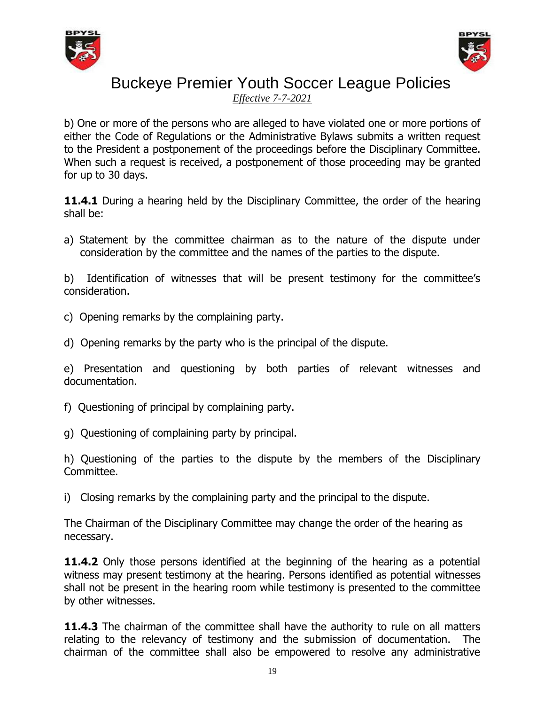



*Effective 7-7-2021*

b) One or more of the persons who are alleged to have violated one or more portions of either the Code of Regulations or the Administrative Bylaws submits a written request to the President a postponement of the proceedings before the Disciplinary Committee. When such a request is received, a postponement of those proceeding may be granted for up to 30 days.

**11.4.1** During a hearing held by the Disciplinary Committee, the order of the hearing shall be:

a) Statement by the committee chairman as to the nature of the dispute under consideration by the committee and the names of the parties to the dispute.

b) Identification of witnesses that will be present testimony for the committee's consideration.

- c) Opening remarks by the complaining party.
- d) Opening remarks by the party who is the principal of the dispute.

e) Presentation and questioning by both parties of relevant witnesses and documentation.

- f) Questioning of principal by complaining party.
- g) Questioning of complaining party by principal.

h) Questioning of the parties to the dispute by the members of the Disciplinary Committee.

i) Closing remarks by the complaining party and the principal to the dispute.

The Chairman of the Disciplinary Committee may change the order of the hearing as necessary.

**11.4.2** Only those persons identified at the beginning of the hearing as a potential witness may present testimony at the hearing. Persons identified as potential witnesses shall not be present in the hearing room while testimony is presented to the committee by other witnesses.

**11.4.3** The chairman of the committee shall have the authority to rule on all matters relating to the relevancy of testimony and the submission of documentation. The chairman of the committee shall also be empowered to resolve any administrative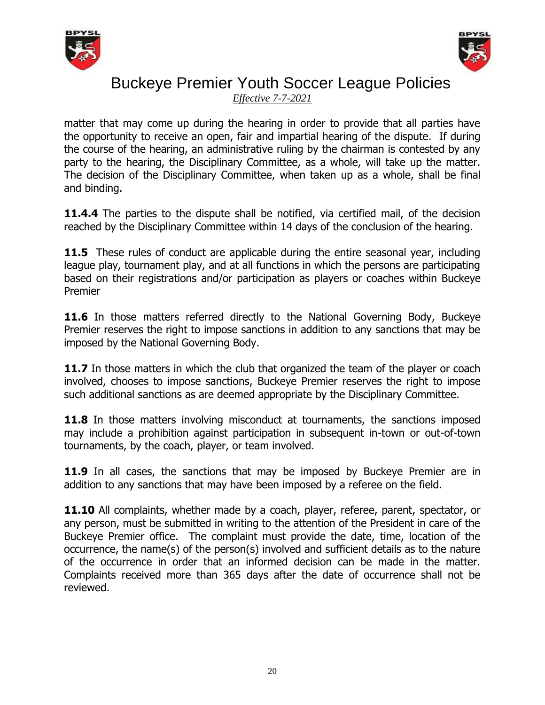



*Effective 7-7-2021*

matter that may come up during the hearing in order to provide that all parties have the opportunity to receive an open, fair and impartial hearing of the dispute. If during the course of the hearing, an administrative ruling by the chairman is contested by any party to the hearing, the Disciplinary Committee, as a whole, will take up the matter. The decision of the Disciplinary Committee, when taken up as a whole, shall be final and binding.

**11.4.4** The parties to the dispute shall be notified, via certified mail, of the decision reached by the Disciplinary Committee within 14 days of the conclusion of the hearing.

**11.5** These rules of conduct are applicable during the entire seasonal year, including league play, tournament play, and at all functions in which the persons are participating based on their registrations and/or participation as players or coaches within Buckeye Premier

**11.6** In those matters referred directly to the National Governing Body, Buckeye Premier reserves the right to impose sanctions in addition to any sanctions that may be imposed by the National Governing Body.

**11.7** In those matters in which the club that organized the team of the player or coach involved, chooses to impose sanctions, Buckeye Premier reserves the right to impose such additional sanctions as are deemed appropriate by the Disciplinary Committee.

**11.8** In those matters involving misconduct at tournaments, the sanctions imposed may include a prohibition against participation in subsequent in-town or out-of-town tournaments, by the coach, player, or team involved.

**11.9** In all cases, the sanctions that may be imposed by Buckeye Premier are in addition to any sanctions that may have been imposed by a referee on the field.

**11.10** All complaints, whether made by a coach, player, referee, parent, spectator, or any person, must be submitted in writing to the attention of the President in care of the Buckeye Premier office. The complaint must provide the date, time, location of the occurrence, the name(s) of the person(s) involved and sufficient details as to the nature of the occurrence in order that an informed decision can be made in the matter. Complaints received more than 365 days after the date of occurrence shall not be reviewed.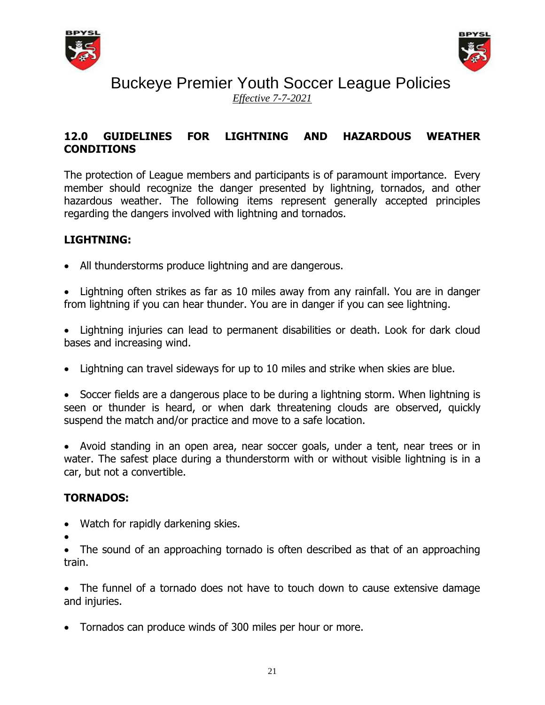



## Buckeye Premier Youth Soccer League Policies *Effective 7-7-2021*

### **12.0 GUIDELINES FOR LIGHTNING AND HAZARDOUS WEATHER CONDITIONS**

The protection of League members and participants is of paramount importance. Every member should recognize the danger presented by lightning, tornados, and other hazardous weather. The following items represent generally accepted principles regarding the dangers involved with lightning and tornados.

### **LIGHTNING:**

All thunderstorms produce lightning and are dangerous.

 Lightning often strikes as far as 10 miles away from any rainfall. You are in danger from lightning if you can hear thunder. You are in danger if you can see lightning.

 Lightning injuries can lead to permanent disabilities or death. Look for dark cloud bases and increasing wind.

Lightning can travel sideways for up to 10 miles and strike when skies are blue.

• Soccer fields are a dangerous place to be during a lightning storm. When lightning is seen or thunder is heard, or when dark threatening clouds are observed, quickly suspend the match and/or practice and move to a safe location.

 Avoid standing in an open area, near soccer goals, under a tent, near trees or in water. The safest place during a thunderstorm with or without visible lightning is in a car, but not a convertible.

### **TORNADOS:**

- Watch for rapidly darkening skies.
- $\bullet$

• The sound of an approaching tornado is often described as that of an approaching train.

 The funnel of a tornado does not have to touch down to cause extensive damage and injuries.

Tornados can produce winds of 300 miles per hour or more.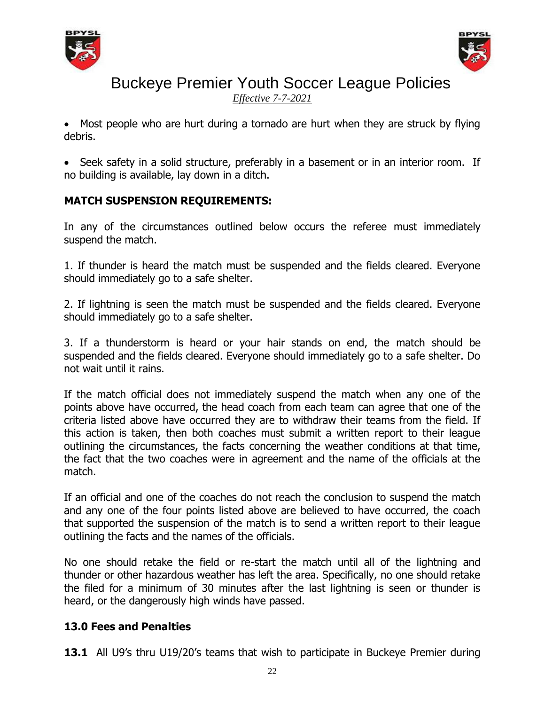



*Effective 7-7-2021*

• Most people who are hurt during a tornado are hurt when they are struck by flying debris.

• Seek safety in a solid structure, preferably in a basement or in an interior room. If no building is available, lay down in a ditch.

## **MATCH SUSPENSION REQUIREMENTS:**

In any of the circumstances outlined below occurs the referee must immediately suspend the match.

1. If thunder is heard the match must be suspended and the fields cleared. Everyone should immediately go to a safe shelter.

2. If lightning is seen the match must be suspended and the fields cleared. Everyone should immediately go to a safe shelter.

3. If a thunderstorm is heard or your hair stands on end, the match should be suspended and the fields cleared. Everyone should immediately go to a safe shelter. Do not wait until it rains.

If the match official does not immediately suspend the match when any one of the points above have occurred, the head coach from each team can agree that one of the criteria listed above have occurred they are to withdraw their teams from the field. If this action is taken, then both coaches must submit a written report to their league outlining the circumstances, the facts concerning the weather conditions at that time, the fact that the two coaches were in agreement and the name of the officials at the match.

If an official and one of the coaches do not reach the conclusion to suspend the match and any one of the four points listed above are believed to have occurred, the coach that supported the suspension of the match is to send a written report to their league outlining the facts and the names of the officials.

No one should retake the field or re-start the match until all of the lightning and thunder or other hazardous weather has left the area. Specifically, no one should retake the filed for a minimum of 30 minutes after the last lightning is seen or thunder is heard, or the dangerously high winds have passed.

## **13.0 Fees and Penalties**

**13.1** All U9's thru U19/20's teams that wish to participate in Buckeye Premier during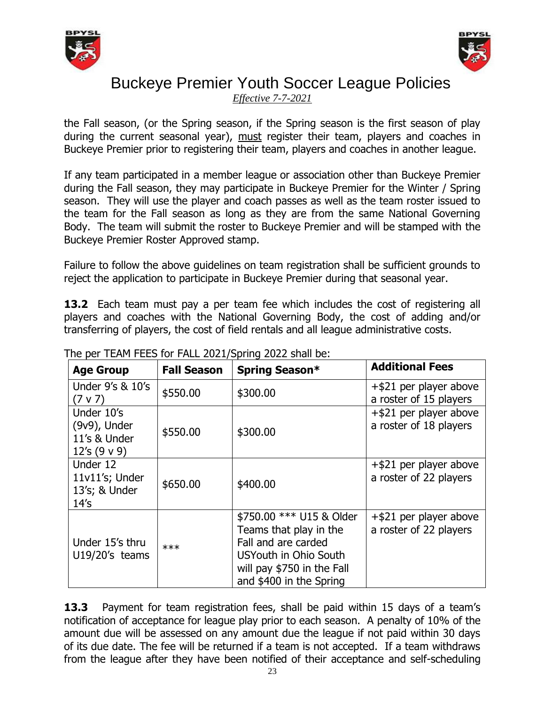



*Effective 7-7-2021*

the Fall season, (or the Spring season, if the Spring season is the first season of play during the current seasonal year), must register their team, players and coaches in Buckeye Premier prior to registering their team, players and coaches in another league.

If any team participated in a member league or association other than Buckeye Premier during the Fall season, they may participate in Buckeye Premier for the Winter / Spring season. They will use the player and coach passes as well as the team roster issued to the team for the Fall season as long as they are from the same National Governing Body. The team will submit the roster to Buckeye Premier and will be stamped with the Buckeye Premier Roster Approved stamp.

Failure to follow the above guidelines on team registration shall be sufficient grounds to reject the application to participate in Buckeye Premier during that seasonal year.

**13.2** Each team must pay a per team fee which includes the cost of registering all players and coaches with the National Governing Body, the cost of adding and/or transferring of players, the cost of field rentals and all league administrative costs.

| <b>Age Group</b>                                                   | <b>Fall Season</b> | Spring Season*                                                                                                                                              | <b>Additional Fees</b>                              |
|--------------------------------------------------------------------|--------------------|-------------------------------------------------------------------------------------------------------------------------------------------------------------|-----------------------------------------------------|
| Under 9's & 10's<br>$(7 \vee 7)$                                   | \$550.00           | \$300.00                                                                                                                                                    | $+$ \$21 per player above<br>a roster of 15 players |
| Under 10's<br>$(9v9)$ , Under<br>11's & Under<br>12's $(9 \vee 9)$ | \$550.00           | \$300.00                                                                                                                                                    | +\$21 per player above<br>a roster of 18 players    |
| Under 12<br>11v11's; Under<br>13's; & Under<br>14's                | \$650.00           | \$400.00                                                                                                                                                    | $+$ \$21 per player above<br>a roster of 22 players |
| Under 15's thru<br>U19/20's teams                                  | $***$              | \$750.00 *** U15 & Older<br>Teams that play in the<br>Fall and are carded<br>USYouth in Ohio South<br>will pay \$750 in the Fall<br>and \$400 in the Spring | $+$ \$21 per player above<br>a roster of 22 players |

The per TFAM FFFS for FALL 2021/Spring 2022 shall be:

**13.3** Payment for team registration fees, shall be paid within 15 days of a team's notification of acceptance for league play prior to each season. A penalty of 10% of the amount due will be assessed on any amount due the league if not paid within 30 days of its due date. The fee will be returned if a team is not accepted. If a team withdraws from the league after they have been notified of their acceptance and self-scheduling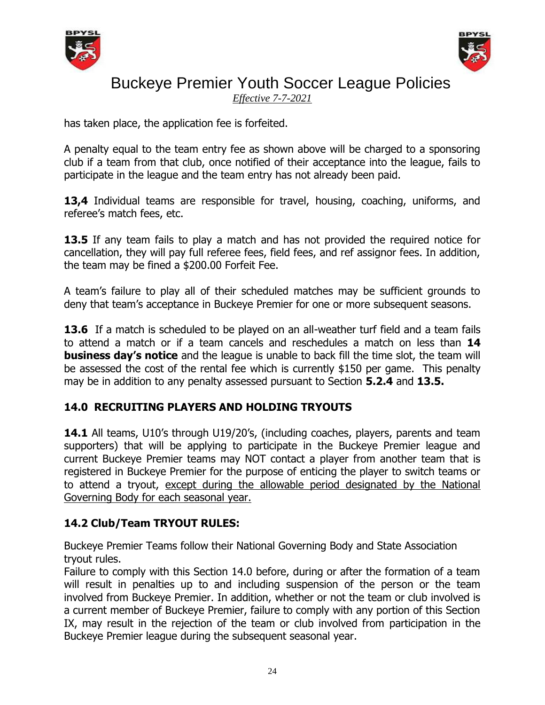



*Effective 7-7-2021*

has taken place, the application fee is forfeited.

A penalty equal to the team entry fee as shown above will be charged to a sponsoring club if a team from that club, once notified of their acceptance into the league, fails to participate in the league and the team entry has not already been paid.

**13,4** Individual teams are responsible for travel, housing, coaching, uniforms, and referee's match fees, etc.

**13.5** If any team fails to play a match and has not provided the required notice for cancellation, they will pay full referee fees, field fees, and ref assignor fees. In addition, the team may be fined a \$200.00 Forfeit Fee.

A team's failure to play all of their scheduled matches may be sufficient grounds to deny that team's acceptance in Buckeye Premier for one or more subsequent seasons.

**13.6** If a match is scheduled to be played on an all-weather turf field and a team fails to attend a match or if a team cancels and reschedules a match on less than **14 business day's notice** and the league is unable to back fill the time slot, the team will be assessed the cost of the rental fee which is currently \$150 per game. This penalty may be in addition to any penalty assessed pursuant to Section **5.2.4** and **13.5.**

## **14.0 RECRUITING PLAYERS AND HOLDING TRYOUTS**

14.1 All teams, U10's through U19/20's, (including coaches, players, parents and team supporters) that will be applying to participate in the Buckeye Premier league and current Buckeye Premier teams may NOT contact a player from another team that is registered in Buckeye Premier for the purpose of enticing the player to switch teams or to attend a tryout, except during the allowable period designated by the National Governing Body for each seasonal year.

## **14.2 Club/Team TRYOUT RULES:**

Buckeye Premier Teams follow their National Governing Body and State Association tryout rules.

Failure to comply with this Section 14.0 before, during or after the formation of a team will result in penalties up to and including suspension of the person or the team involved from Buckeye Premier. In addition, whether or not the team or club involved is a current member of Buckeye Premier, failure to comply with any portion of this Section IX, may result in the rejection of the team or club involved from participation in the Buckeye Premier league during the subsequent seasonal year.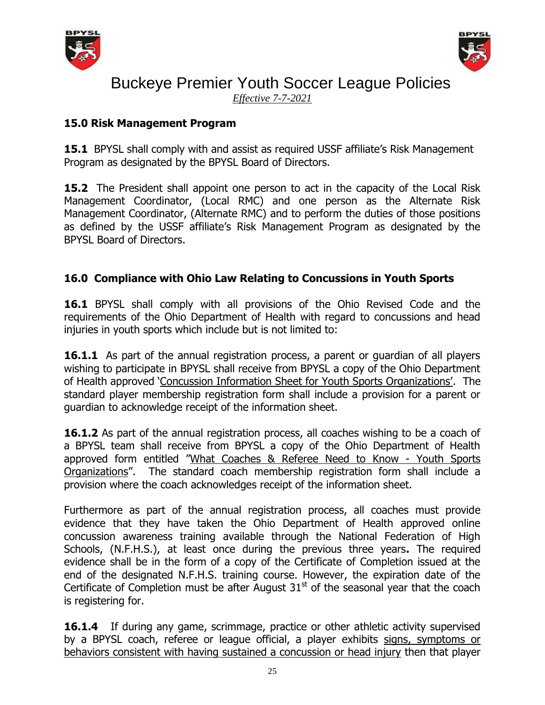



*Effective 7-7-2021*

### **15.0 Risk Management Program**

**15.1** BPYSL shall comply with and assist as required USSF affiliate's Risk Management Program as designated by the BPYSL Board of Directors.

**15.2** The President shall appoint one person to act in the capacity of the Local Risk Management Coordinator, (Local RMC) and one person as the Alternate Risk Management Coordinator, (Alternate RMC) and to perform the duties of those positions as defined by the USSF affiliate's Risk Management Program as designated by the BPYSL Board of Directors.

## **16.0 Compliance with Ohio Law Relating to Concussions in Youth Sports**

**16.1** BPYSL shall comply with all provisions of the Ohio Revised Code and the requirements of the Ohio Department of Health with regard to concussions and head injuries in youth sports which include but is not limited to:

**16.1.1** As part of the annual registration process, a parent or guardian of all players wishing to participate in BPYSL shall receive from BPYSL a copy of the Ohio Department of Health approved 'Concussion Information Sheet for Youth Sports Organizations'. The standard player membership registration form shall include a provision for a parent or guardian to acknowledge receipt of the information sheet.

**16.1.2** As part of the annual registration process, all coaches wishing to be a coach of a BPYSL team shall receive from BPYSL a copy of the Ohio Department of Health approved form entitled "What Coaches & Referee Need to Know - Youth Sports Organizations". The standard coach membership registration form shall include a provision where the coach acknowledges receipt of the information sheet.

Furthermore as part of the annual registration process, all coaches must provide evidence that they have taken the Ohio Department of Health approved online concussion awareness training available through the National Federation of High Schools, (N.F.H.S.), at least once during the previous three years**.** The required evidence shall be in the form of a copy of the Certificate of Completion issued at the end of the designated N.F.H.S. training course. However, the expiration date of the Certificate of Completion must be after August  $31<sup>st</sup>$  of the seasonal year that the coach is registering for.

**16.1.4** If during any game, scrimmage, practice or other athletic activity supervised by a BPYSL coach, referee or league official, a player exhibits signs, symptoms or behaviors consistent with having sustained a concussion or head injury then that player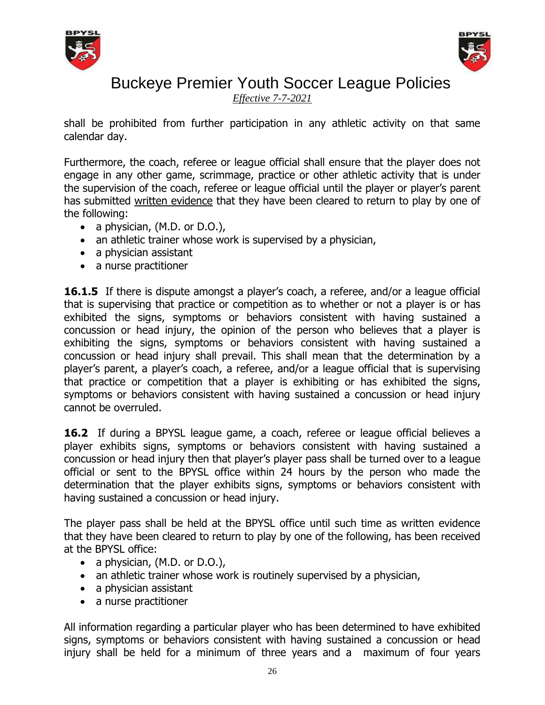



*Effective 7-7-2021*

shall be prohibited from further participation in any athletic activity on that same calendar day.

Furthermore, the coach, referee or league official shall ensure that the player does not engage in any other game, scrimmage, practice or other athletic activity that is under the supervision of the coach, referee or league official until the player or player's parent has submitted written evidence that they have been cleared to return to play by one of the following:

- a physician, (M.D. or D.O.),
- an athletic trainer whose work is supervised by a physician,
- a physician assistant
- a nurse practitioner

**16.1.5** If there is dispute amongst a player's coach, a referee, and/or a league official that is supervising that practice or competition as to whether or not a player is or has exhibited the signs, symptoms or behaviors consistent with having sustained a concussion or head injury, the opinion of the person who believes that a player is exhibiting the signs, symptoms or behaviors consistent with having sustained a concussion or head injury shall prevail. This shall mean that the determination by a player's parent, a player's coach, a referee, and/or a league official that is supervising that practice or competition that a player is exhibiting or has exhibited the signs, symptoms or behaviors consistent with having sustained a concussion or head injury cannot be overruled.

**16.2** If during a BPYSL league game, a coach, referee or league official believes a player exhibits signs, symptoms or behaviors consistent with having sustained a concussion or head injury then that player's player pass shall be turned over to a league official or sent to the BPYSL office within 24 hours by the person who made the determination that the player exhibits signs, symptoms or behaviors consistent with having sustained a concussion or head injury.

The player pass shall be held at the BPYSL office until such time as written evidence that they have been cleared to return to play by one of the following, has been received at the BPYSL office:

- a physician,  $(M.D.$  or  $D.O.$ ),
- an athletic trainer whose work is routinely supervised by a physician,
- a physician assistant
- a nurse practitioner

All information regarding a particular player who has been determined to have exhibited signs, symptoms or behaviors consistent with having sustained a concussion or head injury shall be held for a minimum of three years and a maximum of four years